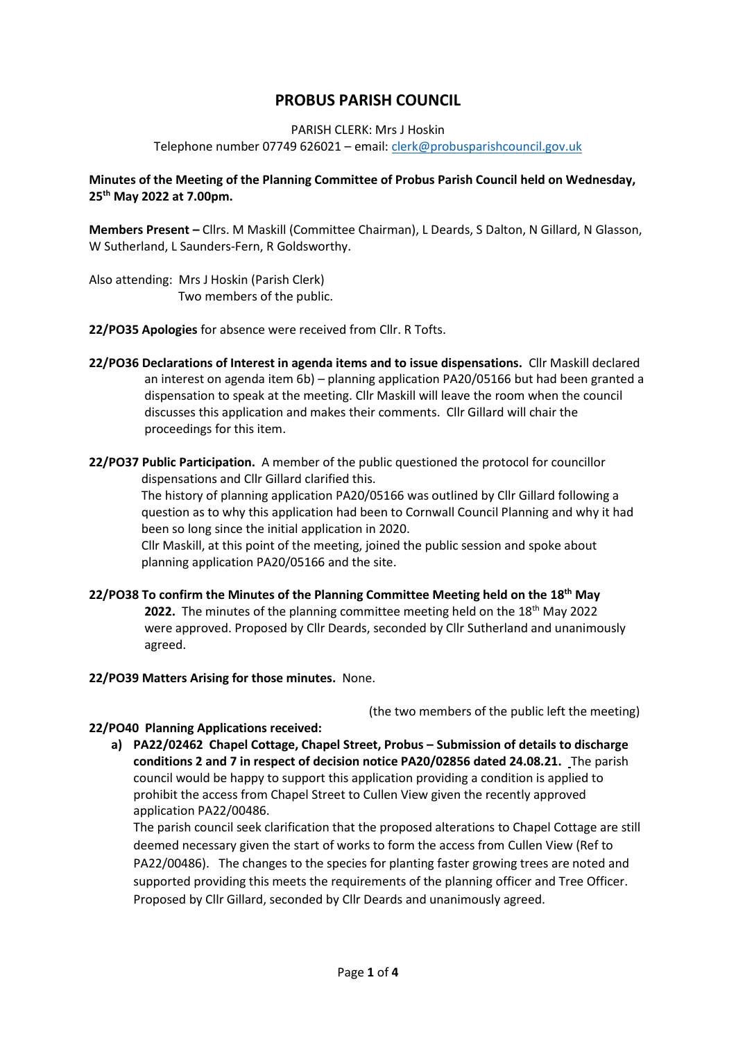# **PROBUS PARISH COUNCIL**

#### PARISH CLERK: Mrs J Hoskin

Telephone number 07749 626021 – email[: clerk@probusparishcouncil.gov.uk](mailto:clerk@probusparishcouncil.gov.uk)

### **Minutes of the Meeting of the Planning Committee of Probus Parish Council held on Wednesday, 25th May 2022 at 7.00pm.**

**Members Present –** Cllrs. M Maskill (Committee Chairman), L Deards, S Dalton, N Gillard, N Glasson, W Sutherland, L Saunders-Fern, R Goldsworthy.

Also attending: Mrs J Hoskin (Parish Clerk) Two members of the public.

**22/PO35 Apologies** for absence were received from Cllr. R Tofts.

- **22/PO36 Declarations of Interest in agenda items and to issue dispensations.** Cllr Maskill declared an interest on agenda item 6b) – planning application PA20/05166 but had been granted a dispensation to speak at the meeting. Cllr Maskill will leave the room when the council discusses this application and makes their comments. Cllr Gillard will chair the proceedings for this item.
- **22/PO37 Public Participation.** A member of the public questioned the protocol for councillor dispensations and Cllr Gillard clarified this.

 The history of planning application PA20/05166 was outlined by Cllr Gillard following a question as to why this application had been to Cornwall Council Planning and why it had been so long since the initial application in 2020.

 Cllr Maskill, at this point of the meeting, joined the public session and spoke about planning application PA20/05166 and the site.

**22/PO38 To confirm the Minutes of the Planning Committee Meeting held on the 18th May 2022.** The minutes of the planning committee meeting held on the 18<sup>th</sup> May 2022 were approved. Proposed by Cllr Deards, seconded by Cllr Sutherland and unanimously agreed.

#### **22/PO39 Matters Arising for those minutes.** None.

(the two members of the public left the meeting)

#### **22/PO40 Planning Applications received:**

**a) PA22/02462 Chapel Cottage, Chapel Street, Probus – Submission of details to discharge conditions 2 and 7 in respect of decision notice PA20/02856 dated 24.08.21.** The parish council would be happy to support this application providing a condition is applied to prohibit the access from Chapel Street to Cullen View given the recently approved application PA22/00486.

The parish council seek clarification that the proposed alterations to Chapel Cottage are still deemed necessary given the start of works to form the access from Cullen View (Ref to PA22/00486). The changes to the species for planting faster growing trees are noted and supported providing this meets the requirements of the planning officer and Tree Officer. Proposed by Cllr Gillard, seconded by Cllr Deards and unanimously agreed.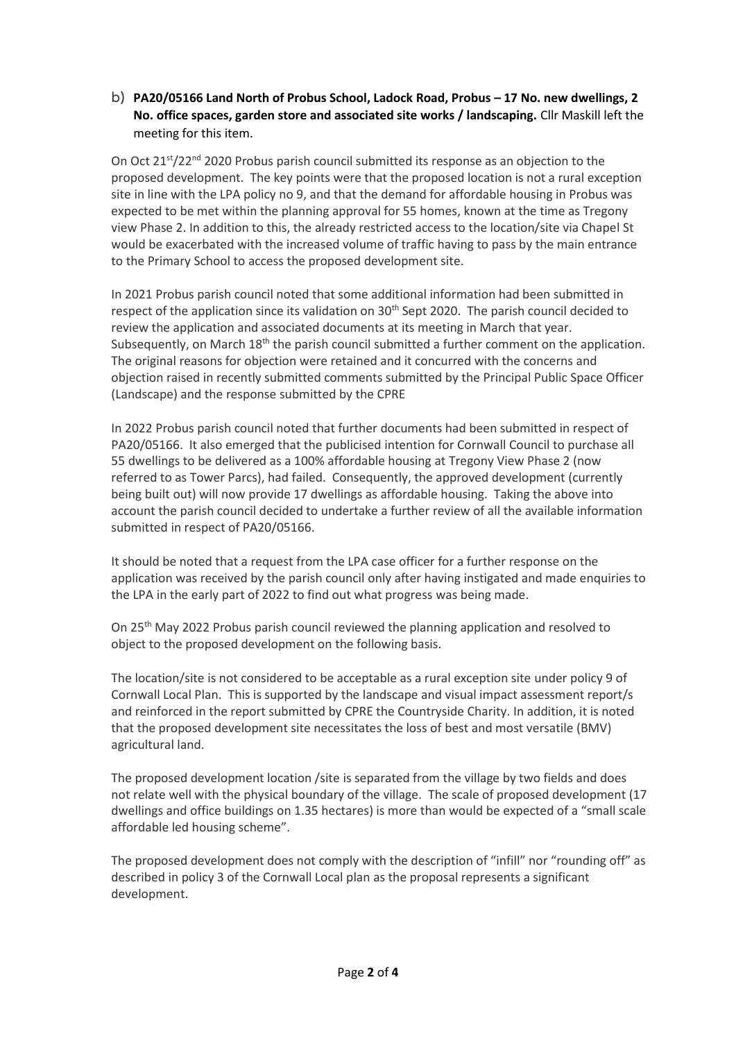b) **PA20/05166 Land North of Probus School, Ladock Road, Probus – 17 No. new dwellings, 2 No. office spaces, garden store and associated site works / landscaping.** Cllr Maskill left the meeting for this item.

On Oct  $21<sup>st</sup>/22<sup>nd</sup>$  2020 Probus parish council submitted its response as an objection to the proposed development. The key points were that the proposed location is not a rural exception site in line with the LPA policy no 9, and that the demand for affordable housing in Probus was expected to be met within the planning approval for 55 homes, known at the time as Tregony view Phase 2. In addition to this, the already restricted access to the location/site via Chapel St would be exacerbated with the increased volume of traffic having to pass by the main entrance to the Primary School to access the proposed development site.

In 2021 Probus parish council noted that some additional information had been submitted in respect of the application since its validation on 30<sup>th</sup> Sept 2020. The parish council decided to review the application and associated documents at its meeting in March that year. Subsequently, on March 18<sup>th</sup> the parish council submitted a further comment on the application. The original reasons for objection were retained and it concurred with the concerns and objection raised in recently submitted comments submitted by the Principal Public Space Officer (Landscape) and the response submitted by the CPRE

In 2022 Probus parish council noted that further documents had been submitted in respect of PA20/05166. It also emerged that the publicised intention for Cornwall Council to purchase all 55 dwellings to be delivered as a 100% affordable housing at Tregony View Phase 2 (now referred to as Tower Parcs), had failed. Consequently, the approved development (currently being built out) will now provide 17 dwellings as affordable housing. Taking the above into account the parish council decided to undertake a further review of all the available information submitted in respect of PA20/05166.

It should be noted that a request from the LPA case officer for a further response on the application was received by the parish council only after having instigated and made enquiries to the LPA in the early part of 2022 to find out what progress was being made.

On 25th May 2022 Probus parish council reviewed the planning application and resolved to object to the proposed development on the following basis.

The location/site is not considered to be acceptable as a rural exception site under policy 9 of Cornwall Local Plan. This is supported by the landscape and visual impact assessment report/s and reinforced in the report submitted by CPRE the Countryside Charity. In addition, it is noted that the proposed development site necessitates the loss of best and most versatile (BMV) agricultural land.

The proposed development location /site is separated from the village by two fields and does not relate well with the physical boundary of the village. The scale of proposed development (17 dwellings and office buildings on 1.35 hectares) is more than would be expected of a "small scale affordable led housing scheme".

The proposed development does not comply with the description of "infill" nor "rounding off" as described in policy 3 of the Cornwall Local plan as the proposal represents a significant development.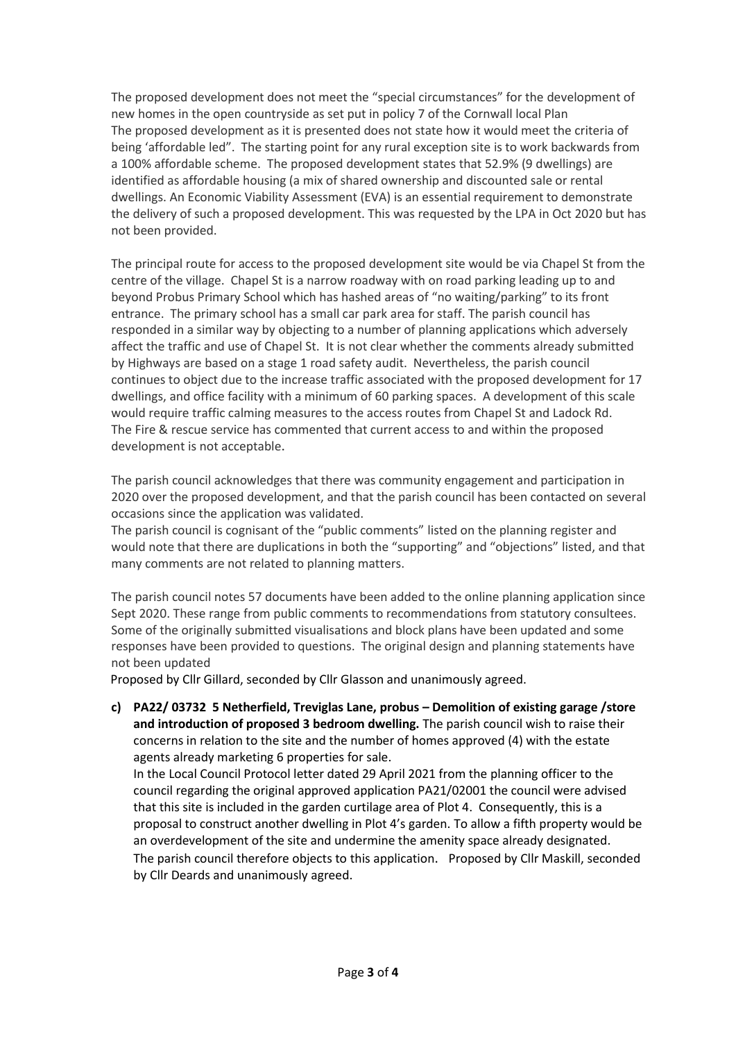The proposed development does not meet the "special circumstances" for the development of new homes in the open countryside as set put in policy 7 of the Cornwall local Plan The proposed development as it is presented does not state how it would meet the criteria of being 'affordable led". The starting point for any rural exception site is to work backwards from a 100% affordable scheme. The proposed development states that 52.9% (9 dwellings) are identified as affordable housing (a mix of shared ownership and discounted sale or rental dwellings. An Economic Viability Assessment (EVA) is an essential requirement to demonstrate the delivery of such a proposed development. This was requested by the LPA in Oct 2020 but has not been provided.

The principal route for access to the proposed development site would be via Chapel St from the centre of the village. Chapel St is a narrow roadway with on road parking leading up to and beyond Probus Primary School which has hashed areas of "no waiting/parking" to its front entrance. The primary school has a small car park area for staff. The parish council has responded in a similar way by objecting to a number of planning applications which adversely affect the traffic and use of Chapel St. It is not clear whether the comments already submitted by Highways are based on a stage 1 road safety audit. Nevertheless, the parish council continues to object due to the increase traffic associated with the proposed development for 17 dwellings, and office facility with a minimum of 60 parking spaces. A development of this scale would require traffic calming measures to the access routes from Chapel St and Ladock Rd. The Fire & rescue service has commented that current access to and within the proposed development is not acceptable.

The parish council acknowledges that there was community engagement and participation in 2020 over the proposed development, and that the parish council has been contacted on several occasions since the application was validated.

The parish council is cognisant of the "public comments" listed on the planning register and would note that there are duplications in both the "supporting" and "objections" listed, and that many comments are not related to planning matters.

The parish council notes 57 documents have been added to the online planning application since Sept 2020. These range from public comments to recommendations from statutory consultees. Some of the originally submitted visualisations and block plans have been updated and some responses have been provided to questions. The original design and planning statements have not been updated

Proposed by Cllr Gillard, seconded by Cllr Glasson and unanimously agreed.

**c) PA22/ 03732 5 Netherfield, Treviglas Lane, probus – Demolition of existing garage /store and introduction of proposed 3 bedroom dwelling.** The parish council wish to raise their concerns in relation to the site and the number of homes approved (4) with the estate agents already marketing 6 properties for sale.

In the Local Council Protocol letter dated 29 April 2021 from the planning officer to the council regarding the original approved application PA21/02001 the council were advised that this site is included in the garden curtilage area of Plot 4. Consequently, this is a proposal to construct another dwelling in Plot 4's garden. To allow a fifth property would be an overdevelopment of the site and undermine the amenity space already designated. The parish council therefore objects to this application. Proposed by Cllr Maskill, seconded by Cllr Deards and unanimously agreed.